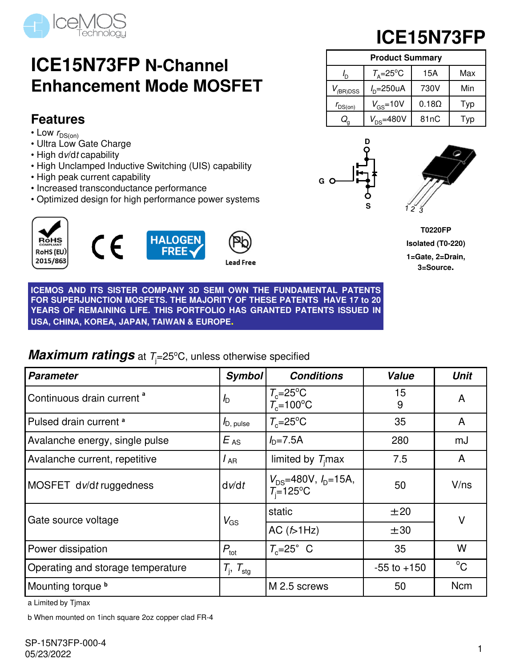

## **ICE15N73FP N-Channel Enhancement Mode MOSFET**

### **Features**

- Low  $r_{DS(on)}$
- Ultra Low Gate Charge
- High dv/dt capability
- High Unclamped Inductive Switching (UIS) capability
- High peak current capability
- Increased transconductance performance
- Optimized design for high performance power systems







ead Free

**ICE15N73FP**

| <b>Product Summary</b>    |                              |              |     |  |  |  |  |
|---------------------------|------------------------------|--------------|-----|--|--|--|--|
| $\mathbf{r}_{\mathsf{D}}$ | $T_{\text{A}} = 25^{\circ}C$ | 15A          | Max |  |  |  |  |
| $V_{(BR)DSS}$             | $ID=250uA$                   | 730V         | Min |  |  |  |  |
| $r_{DS(on)}$              | $V_{GS}$ =10V                | $0.18\Omega$ | Typ |  |  |  |  |
| $\mathsf{Q}_{\mathsf{q}}$ | $V_{DS} = 480V$              | 81nC         | Typ |  |  |  |  |





**T0220FP Isolated (T0-220) 1=Gate, 2=Drain, 3=Source.**

**ICEMOS AND ITS SISTER COMPANY 3D SEMI OWN THE FUNDAMENTAL PATENTS FOR SUPERJUNCTION MOSFETS. THE MAJORITY OF THESE PATENTS HAVE 17 to 20 YEARS OF REMAINING LIFE. THIS PORTFOLIO HAS GRANTED PATENTS ISSUED IN USA, CHINA, KOREA, JAPAN, TAIWAN & EUROPE.**

### **Maximum ratings** at  $T_i=25^{\circ}$ C, unless otherwise specified

| <b>Parameter</b>                      | <b>Symbol</b>            | <b>Conditions</b>                               | <b>Value</b>    | <b>Unit</b> |
|---------------------------------------|--------------------------|-------------------------------------------------|-----------------|-------------|
| Continuous drain current <sup>a</sup> | $\sqrt{D}$               | $T_c=25^{\circ}C$<br>$T_c=100^{\circ}C$         | 15<br>9         | A           |
| Pulsed drain current <sup>a</sup>     | $I_{D, \text{ pulse}}$   | $T_c = 25$ °C                                   | 35              | A           |
| Avalanche energy, single pulse        | $E_{AS}$                 | $ID=7.5A$                                       | 280             | mJ          |
| Avalanche current, repetitive         | l <sub>AR</sub>          | limited by $Timax$                              | 7.5             | A           |
| MOSFET dv/dt ruggedness               | dv/dt                    | $V_{DS}$ =480V, $I_{D}$ =15A,<br>$T_i = 125$ °C | 50              | V/ns        |
| Gate source voltage                   | $V_{GS}$                 | static                                          | ±20             | $\vee$      |
|                                       |                          | AC $(5-1)Hz$                                    | $\pm 30$        |             |
| Power dissipation                     | $P_{\text{tot}}$         | $T_c = 25^\circ$ C                              | 35              | W           |
| Operating and storage temperature     | $T_i$ , $T_{\text{stg}}$ |                                                 | $-55$ to $+150$ | $^{\circ}C$ |
| Mounting torque b                     |                          | M 2.5 screws                                    | 50              | <b>Ncm</b>  |

a Limited by Tjmax

b When mounted on 1inch square 2oz copper clad FR-4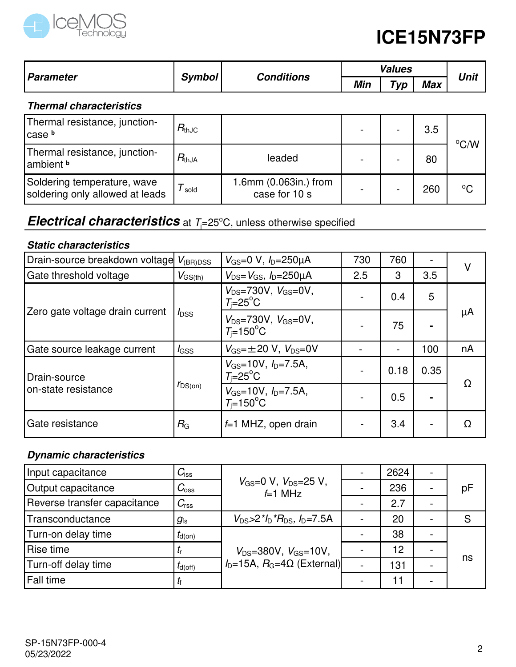

|                  | <b>Symbol</b> | <b>Conditions</b> | Values |             |            |      |
|------------------|---------------|-------------------|--------|-------------|------------|------|
| <b>Parameter</b> |               |                   | Min    | $\tau_{VD}$ | <b>Max</b> | Unit |

### **Thermal characteristics**

| Thermal resistance, junction-<br>lcase b                       | $R_{\rm thJC}$ |                                        |  | 3.5 | °C/W         |
|----------------------------------------------------------------|----------------|----------------------------------------|--|-----|--------------|
| Thermal resistance, junction-<br>lambient <sup>b</sup>         | $R_{thJA}$     | leaded                                 |  | 80  |              |
| Soldering temperature, wave<br>soldering only allowed at leads | sold           | 1.6mm (0.063in.) from<br>case for 10 s |  | 260 | $^{\circ}$ C |

### **Electrical characteristics** at  $T_i = 25^\circ \text{C}$ , unless otherwise specified

### **Static characteristics**

| Drain-source breakdown voltage  | $V_{\rm (BR)DSS}$ | $V_{\text{GS}} = 0 \text{ V}, I_{\text{D}} = 250 \mu \text{A}$ | 730 | 760  |      | V  |
|---------------------------------|-------------------|----------------------------------------------------------------|-----|------|------|----|
| Gate threshold voltage          | $V_{\rm GS(th)}$  | $V_{DS} = V_{GS}$ , $I_{D} = 250 \mu A$                        | 2.5 | 3    | 3.5  |    |
|                                 |                   | $V_{DS} = 730V$ , $V_{GS} = 0V$ ,<br>$T_i = 25^\circ \text{C}$ |     | 0.4  | 5    | μA |
| Zero gate voltage drain current | $I_{\text{DSS}}$  | $V_{DS} = 730V, V_{GS} = 0V,$<br>$T_i = 150^{\circ}$ C         |     | 75   |      |    |
| Gate source leakage current     | <i>l</i> gss      | $V_{\text{GS}} = \pm 20$ V, $V_{\text{DS}} = 0$ V              |     |      | 100  | nA |
| l Drain-source                  | $r_{DS(on)}$      | $V_{GS}$ =10V, $I_{D}$ =7.5A,<br>$T_i = 25^\circ \text{C}$     |     | 0.18 | 0.35 | Ω  |
| on-state resistance             |                   | $V_{GS}$ =10V, $I_{D}$ =7.5A,<br>$T_i = 150$ °C                |     | 0.5  |      |    |
| Gate resistance                 | $R_{\rm G}$       | $f=1$ MHZ, open drain                                          |     | 3.4  |      | Ω  |

### **Dynamic characteristics**

| Input capacitance            | $C_{\text{iss}}$    |                                                   | 2624 |    |
|------------------------------|---------------------|---------------------------------------------------|------|----|
| Output capacitance           | $C_{\rm oss}$       | $V_{\rm GS}=0$ V, $V_{\rm DS}=25$ V,<br>$f=1$ MHz | 236  | рF |
| Reverse transfer capacitance | $C_{\text{rss}}$    |                                                   | 2.7  |    |
| Transconductance             | $g_{\rm fs}$        | $V_{DS} > 2$ * $I_D$ * $R_{DS}$ , $I_D = 7.5$ A   | 20   | S  |
| Turn-on delay time           | $t_{d(on)}$         |                                                   | 38   |    |
| Rise time                    |                     | $V_{DS} = 380V$ , $V_{GS} = 10V$ ,                | 12   |    |
| Turn-off delay time          | $t_{d(\text{off})}$ | $I_D=15A$ , $R_G=4\Omega$ (External)              | 131  | ns |
| Fall time                    |                     |                                                   | 11   |    |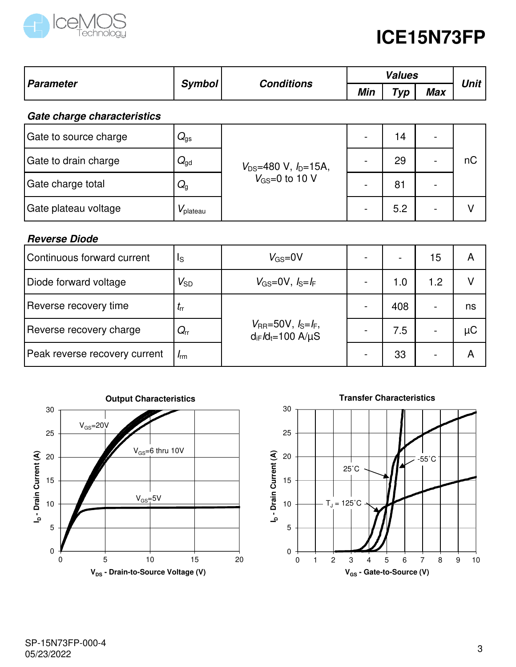

| <b>Parameter</b>            |                                    |                              |     | <b>Unit</b> |                          |    |  |
|-----------------------------|------------------------------------|------------------------------|-----|-------------|--------------------------|----|--|
|                             | <b>Conditions</b><br><b>Symbol</b> |                              | Min | Typ         | <b>Max</b>               |    |  |
| Gate charge characteristics |                                    |                              |     |             |                          |    |  |
| Gate to source charge       | $Q_{\rm gs}$                       |                              |     | 14          | $\overline{\phantom{a}}$ |    |  |
| Gate to drain charge        | $Q_{\text{gd}}$                    | $V_{DS}$ =480 V, $I_D$ =15A, |     | 29          |                          | nC |  |
| Gate charge total           | $Q_{\rm q}$                        | $V_{GS}=0$ to 10 V           |     | 81          | $\overline{\phantom{0}}$ |    |  |
| Gate plateau voltage        | $V_{\rm plateau}$                  |                              |     | 5.2         | $\overline{\phantom{0}}$ | V  |  |

### **Reverse Diode**

| Continuous forward current    | Is           | $V_{GS}=0V$                                                                       |     | 15                       | А  |
|-------------------------------|--------------|-----------------------------------------------------------------------------------|-----|--------------------------|----|
| Diode forward voltage         | $V_{SD}$     | $V_{GS}=0$ V, $I_S=I_F$                                                           | 1.0 | 1.2                      |    |
| Reverse recovery time         | $I_{rr}$     |                                                                                   | 408 |                          | ns |
| Reverse recovery charge       | $Q_{\sf rr}$ | $V_{\rm RR} = 50V, I_{\rm S} = I_{\rm F}$ ,<br>$d_{iF}$ / $d_{t}$ =100 A/ $\mu$ S | 7.5 | $\overline{\phantom{0}}$ | μC |
| Peak reverse recovery current | $I_{rm}$     |                                                                                   | 33  | $\overline{\phantom{0}}$ | A  |



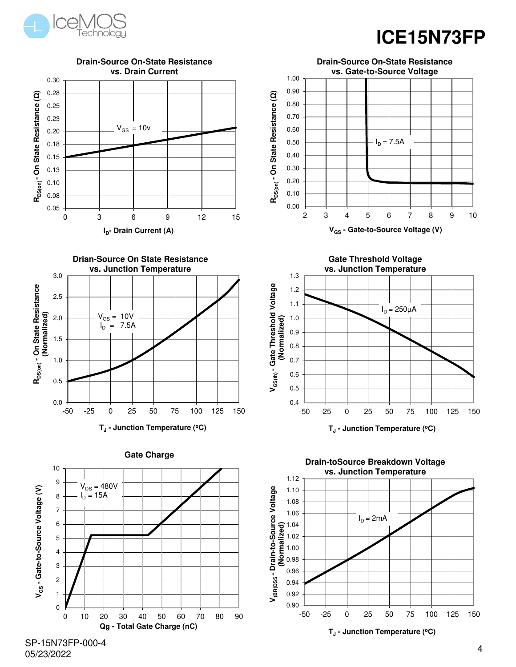



SP-15N73FP-000-4 05/23/2022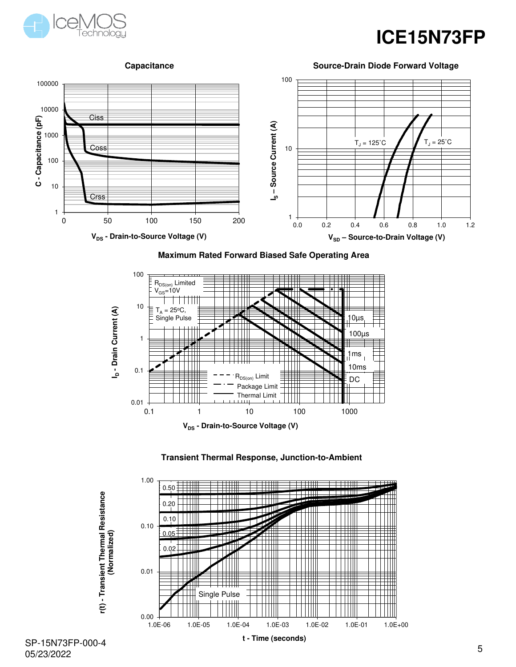





#### **Maximum Rated Forward Biased Safe Operating Area**







SP-15N73FP-000-4 05/23/2022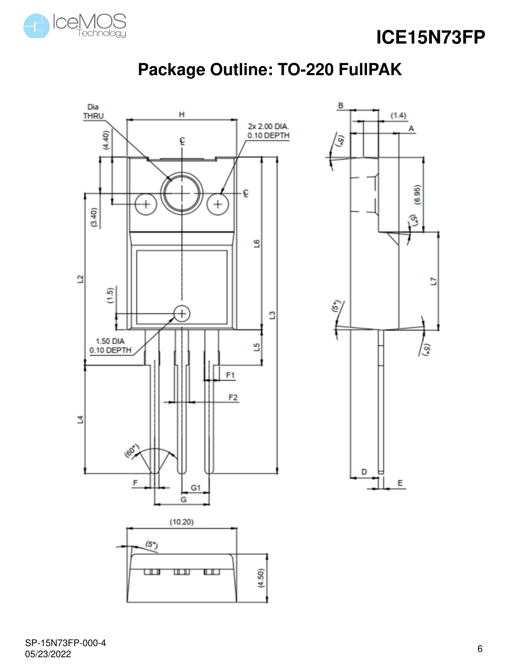



### **Package Outline: TO-220 FullPAK**



SP-15N73FP-000-4 05/23/2022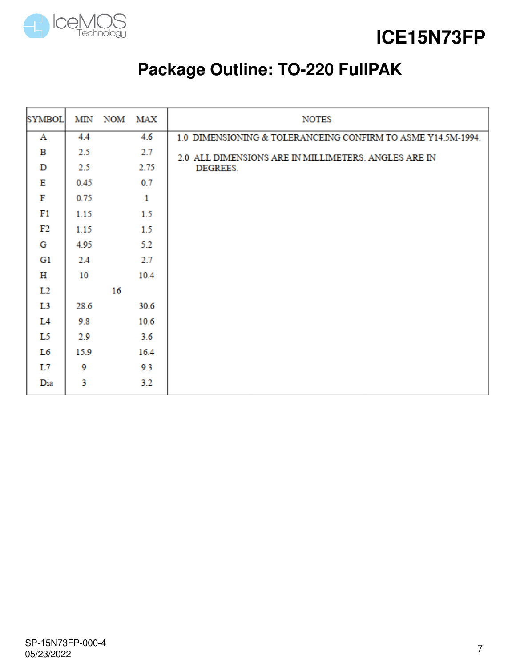

**ICE15N73FP**

## **Package Outline: TO-220 FullPAK**

| <b>SYMBOL</b>  | MIN  |    | NOM MAX      | <b>NOTES</b>                                                 |
|----------------|------|----|--------------|--------------------------------------------------------------|
| Α              | 4.4  |    | 4.6          | 1.0 DIMENSIONING & TOLERANCEING CONFIRM TO ASME Y14.5M-1994. |
| в              | 2.5  |    | 2.7          | 2.0 ALL DIMENSIONS ARE IN MILLIMETERS. ANGLES ARE IN         |
| D              | 2.5  |    | 2.75         | <b>DEGREES.</b>                                              |
| Е              | 0.45 |    | 0.7          |                                                              |
| F              | 0.75 |    | $\mathbf{1}$ |                                                              |
| F1             | 1.15 |    | 1.5          |                                                              |
| F2             | 1.15 |    | 1.5          |                                                              |
| G              | 4.95 |    | 5.2          |                                                              |
| G1             | 2.4  |    | 2.7          |                                                              |
| н              | 10   |    | 10.4         |                                                              |
| L <sub>2</sub> |      | 16 |              |                                                              |
| L3             | 28.6 |    | 30.6         |                                                              |
| L4             | 9.8  |    | 10.6         |                                                              |
| L5             | 2.9  |    | 3.6          |                                                              |
| L6             | 15.9 |    | 16.4         |                                                              |
| L7             | 9    |    | 9.3          |                                                              |
| Dia            | 3    |    | 3.2          |                                                              |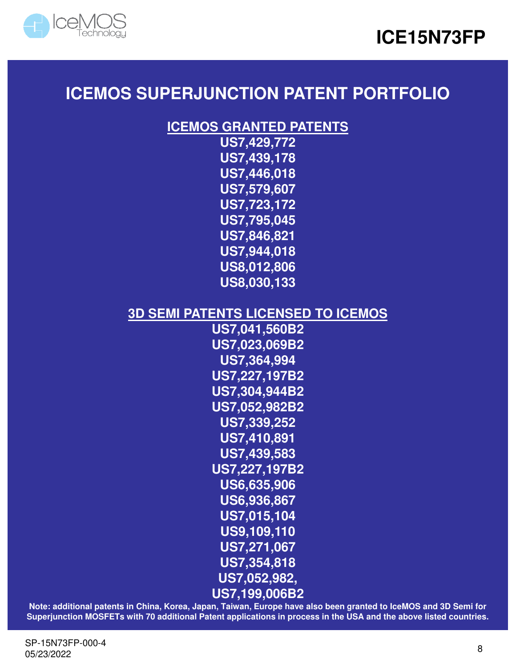



### **ICEMOS SUPERJUNCTION PATENT PORTFOLIO**

### **ICEMOS GRANTED PATENTS**

**US7,429,772 US7,439,178 US7,446,018 US7,579,607 US7,723,172 US7,795,045 US7,846,821 US7,944,018 US8,012,806 US8,030,133**

### **3D SEMI PATENTS LICENSED TO ICEMOS**

**US7,041,560B2 US7,023,069B2 US7,364,994 US7,227,197B2 US7,304,944B2 US7,052,982B2 US7,339,252 US7,410,891 US7,439,583 US7,227,197B2 US6,635,906 US6,936,867 US7,015,104 US9,109,110 US7,271,067 US7,354,818 US7,052,982, US7,199,006B2**

**Note: additional patents in China, Korea, Japan, Taiwan, Europe have also been granted to IceMOS and 3D Semi for Superjunction MOSFETs with 70 additional Patent applications in process in the USA and the above listed countries.**